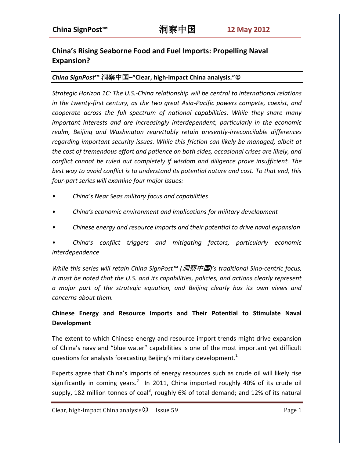# **China's Rising Seaborne Food and Fuel Imports: Propelling Naval Expansion?**

### *China SignPost***™** 洞察中国**–"Clear, high-impact China analysis."©**

*Strategic Horizon 1C: The U.S.-China relationship will be central to international relations in the twenty-first century, as the two great Asia-Pacific powers compete, coexist, and cooperate across the full spectrum of national capabilities. While they share many important interests and are increasingly interdependent, particularly in the economic realm, Beijing and Washington regrettably retain presently-irreconcilable differences regarding important security issues. While this friction can likely be managed, albeit at the cost of tremendous effort and patience on both sides, occasional crises are likely, and conflict cannot be ruled out completely if wisdom and diligence prove insufficient. The best way to avoid conflict is to understand its potential nature and cost. To that end, this four-part series will examine four major issues:*

- *• China's Near Seas military focus and capabilities*
- *• China's economic environment and implications for military development*
- *• Chinese energy and resource imports and their potential to drive naval expansion*

*• China's conflict triggers and mitigating factors, particularly economic interdependence*

*While this series will retain China SignPost™ (*洞察中国*)'s traditional Sino-centric focus, it must be noted that the U.S. and its capabilities, policies, and actions clearly represent a major part of the strategic equation, and Beijing clearly has its own views and concerns about them.*

# **Chinese Energy and Resource Imports and Their Potential to Stimulate Naval Development**

The extent to which Chinese energy and resource import trends might drive expansion of China's navy and "blue water" capabilities is one of the most important yet difficult questions for analysts forecasting Beijing's military development.<sup>1</sup>

Experts agree that China's imports of energy resources such as crude oil will likely rise significantly in coming years.<sup>2</sup> In 2011, China imported roughly 40% of its crude oil supply, 182 million tonnes of coal<sup>3</sup>, roughly 6% of total demand; and 12% of its natural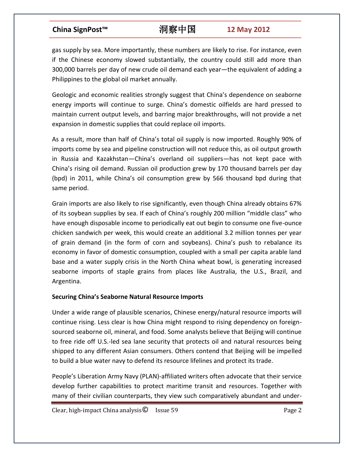gas supply by sea. More importantly, these numbers are likely to rise. For instance, even if the Chinese economy slowed substantially, the country could still add more than 300,000 barrels per day of new crude oil demand each year—the equivalent of adding a Philippines to the global oil market annually.

Geologic and economic realities strongly suggest that China's dependence on seaborne energy imports will continue to surge. China's domestic oilfields are hard pressed to maintain current output levels, and barring major breakthroughs, will not provide a net expansion in domestic supplies that could replace oil imports.

As a result, more than half of China's total oil supply is now imported. Roughly 90% of imports come by sea and pipeline construction will not reduce this, as oil output growth in Russia and Kazakhstan—China's overland oil suppliers—has not kept pace with China's rising oil demand. Russian oil production grew by 170 thousand barrels per day (bpd) in 2011, while China's oil consumption grew by 566 thousand bpd during that same period.

Grain imports are also likely to rise significantly, even though China already obtains 67% of its soybean supplies by sea. If each of China's roughly 200 million "middle class" who have enough disposable income to periodically eat out begin to consume one five-ounce chicken sandwich per week, this would create an additional 3.2 million tonnes per year of grain demand (in the form of corn and soybeans). China's push to rebalance its economy in favor of domestic consumption, coupled with a small per capita arable land base and a water supply crisis in the North China wheat bowl, is generating increased seaborne imports of staple grains from places like Australia, the U.S., Brazil, and Argentina.

### **Securing China's Seaborne Natural Resource Imports**

Under a wide range of plausible scenarios, Chinese energy/natural resource imports will continue rising. Less clear is how China might respond to rising dependency on foreignsourced seaborne oil, mineral, and food. Some analysts believe that Beijing will continue to free ride off U.S.-led sea lane security that protects oil and natural resources being shipped to any different Asian consumers. Others contend that Beijing will be impelled to build a blue water navy to defend its resource lifelines and protect its trade.

People's Liberation Army Navy (PLAN)-affiliated writers often advocate that their service develop further capabilities to protect maritime transit and resources. Together with many of their civilian counterparts, they view such comparatively abundant and under-

 $Clear, high-impact China analysis  $\odot$  Issue 59 Page 2$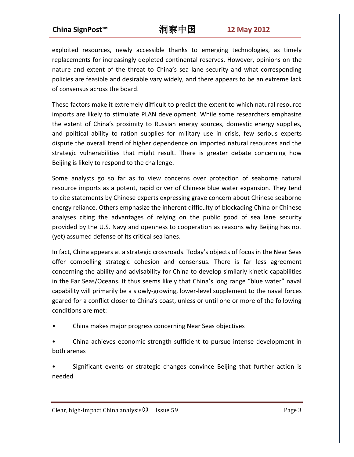exploited resources, newly accessible thanks to emerging technologies, as timely replacements for increasingly depleted continental reserves. However, opinions on the nature and extent of the threat to China's sea lane security and what corresponding policies are feasible and desirable vary widely, and there appears to be an extreme lack of consensus across the board.

These factors make it extremely difficult to predict the extent to which natural resource imports are likely to stimulate PLAN development. While some researchers emphasize the extent of China's proximity to Russian energy sources, domestic energy supplies, and political ability to ration supplies for military use in crisis, few serious experts dispute the overall trend of higher dependence on imported natural resources and the strategic vulnerabilities that might result. There is greater debate concerning how Beijing is likely to respond to the challenge.

Some analysts go so far as to view concerns over protection of seaborne natural resource imports as a potent, rapid driver of Chinese blue water expansion. They tend to cite statements by Chinese experts expressing grave concern about Chinese seaborne energy reliance. Others emphasize the inherent difficulty of blockading China or Chinese analyses citing the advantages of relying on the public good of sea lane security provided by the U.S. Navy and openness to cooperation as reasons why Beijing has not (yet) assumed defense of its critical sea lanes.

In fact, China appears at a strategic crossroads. Today's objects of focus in the Near Seas offer compelling strategic cohesion and consensus. There is far less agreement concerning the ability and advisability for China to develop similarly kinetic capabilities in the Far Seas/Oceans. It thus seems likely that China's long range "blue water" naval capability will primarily be a slowly-growing, lower-level supplement to the naval forces geared for a conflict closer to China's coast, unless or until one or more of the following conditions are met:

- China makes major progress concerning Near Seas objectives
- China achieves economic strength sufficient to pursue intense development in both arenas
- Significant events or strategic changes convince Beijing that further action is needed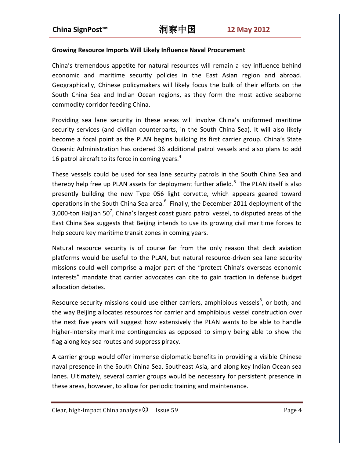### **Growing Resource Imports Will Likely Influence Naval Procurement**

China's tremendous appetite for natural resources will remain a key influence behind economic and maritime security policies in the East Asian region and abroad. Geographically, Chinese policymakers will likely focus the bulk of their efforts on the South China Sea and Indian Ocean regions, as they form the most active seaborne commodity corridor feeding China.

Providing sea lane security in these areas will involve China's uniformed maritime security services (and civilian counterparts, in the South China Sea). It will also likely become a focal point as the PLAN begins building its first carrier group. China's State Oceanic Administration has ordered 36 additional patrol vessels and also plans to add 16 patrol aircraft to its force in coming years.<sup>4</sup>

These vessels could be used for sea lane security patrols in the South China Sea and thereby help free up PLAN assets for deployment further afield.<sup>5</sup> The PLAN itself is also presently building the new Type 056 light corvette, which appears geared toward operations in the South China Sea area.<sup>6</sup> Finally, the December 2011 deployment of the 3,000-ton Haijian 50<sup>7</sup>, China's largest coast guard patrol vessel, to disputed areas of the East China Sea suggests that Beijing intends to use its growing civil maritime forces to help secure key maritime transit zones in coming years.

Natural resource security is of course far from the only reason that deck aviation platforms would be useful to the PLAN, but natural resource-driven sea lane security missions could well comprise a major part of the "protect China's overseas economic interests" mandate that carrier advocates can cite to gain traction in defense budget allocation debates.

Resource security missions could use either carriers, amphibious vessels $^8$ , or both; and the way Beijing allocates resources for carrier and amphibious vessel construction over the next five years will suggest how extensively the PLAN wants to be able to handle higher-intensity maritime contingencies as opposed to simply being able to show the flag along key sea routes and suppress piracy.

A carrier group would offer immense diplomatic benefits in providing a visible Chinese naval presence in the South China Sea, Southeast Asia, and along key Indian Ocean sea lanes. Ultimately, several carrier groups would be necessary for persistent presence in these areas, however, to allow for periodic training and maintenance.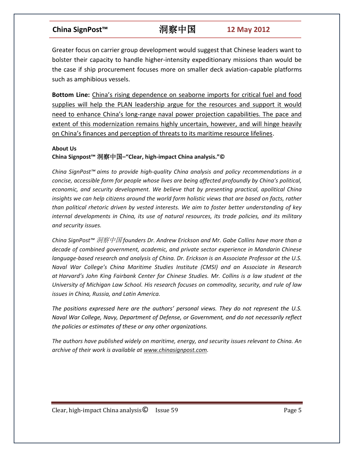Greater focus on carrier group development would suggest that Chinese leaders want to bolster their capacity to handle higher-intensity expeditionary missions than would be the case if ship procurement focuses more on smaller deck aviation-capable platforms such as amphibious vessels.

**Bottom Line:** China's rising dependence on seaborne imports for critical fuel and food supplies will help the PLAN leadership argue for the resources and support it would need to enhance China's long-range naval power projection capabilities. The pace and extent of this modernization remains highly uncertain, however, and will hinge heavily on China's finances and perception of threats to its maritime resource lifelines.

### **About Us**

### **China Signpost™** 洞察中国**–"Clear, high-impact China analysis."©**

*China SignPost™ aims to provide high-quality China analysis and policy recommendations in a concise, accessible form for people whose lives are being affected profoundly by China's political, economic, and security development. We believe that by presenting practical, apolitical China*  insights we can help citizens around the world form holistic views that are based on facts, rather *than political rhetoric driven by vested interests. We aim to foster better understanding of key internal developments in China, its use of natural resources, its trade policies, and its military and security issues.*

*China SignPost™* 洞察中国 *founders Dr. Andrew Erickson and Mr. Gabe Collins have more than a decade of combined government, academic, and private sector experience in Mandarin Chinese language-based research and analysis of China. Dr. Erickson is an Associate Professor at the U.S. Naval War College's China Maritime Studies Institute (CMSI) and an Associate in Research at Harvard's John King Fairbank Center for Chinese Studies. Mr. Collins is a law student at the University of Michigan Law School. His research focuses on commodity, security, and rule of law issues in China, Russia, and Latin America.*

*The positions expressed here are the authors' personal views. They do not represent the U.S. Naval War College, Navy, Department of Defense, or Government, and do not necessarily reflect the policies or estimates of these or any other organizations.*

*The authors have published widely on maritime, energy, and security issues relevant to China. An archive of their work is available at [www.chinasignpost.com.](http://www.chinasignpost.com/)*